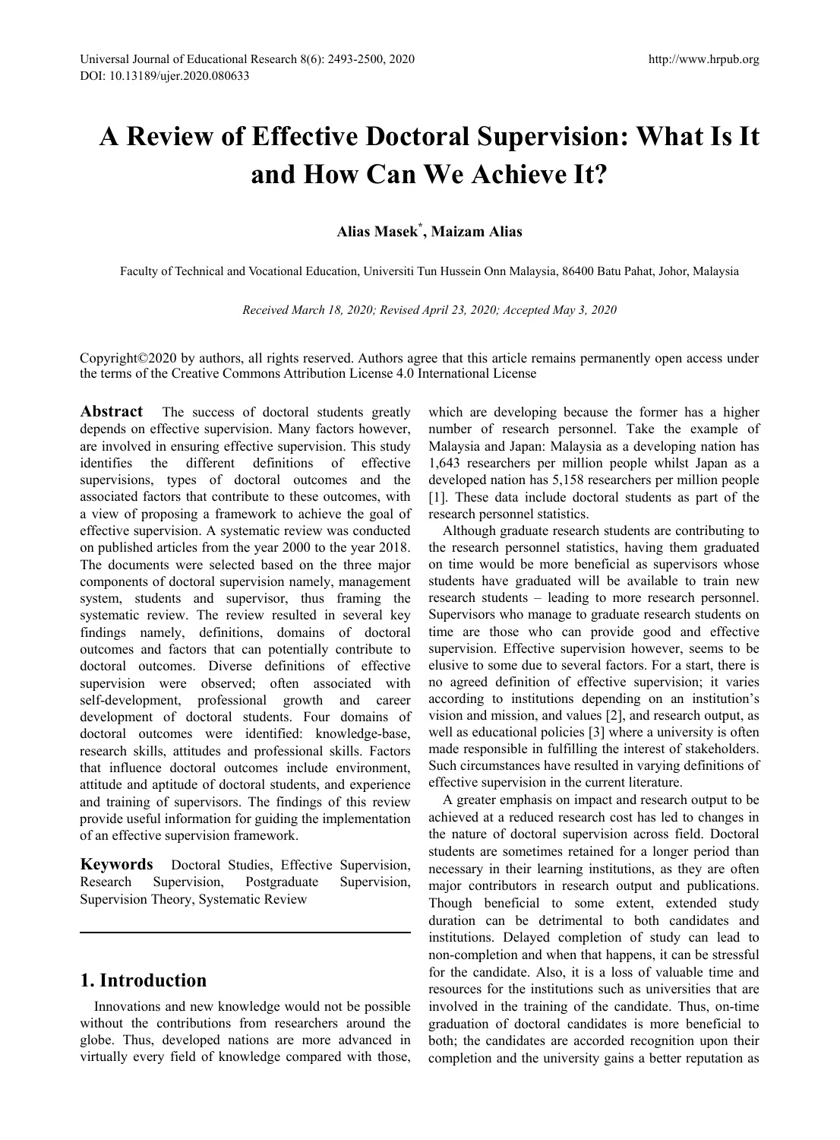# **A Review of Effective Doctoral Supervision: What Is It and How Can We Achieve It?**

## **Alias Masek\* , Maizam Alias**

Faculty of Technical and Vocational Education, Universiti Tun Hussein Onn Malaysia, 86400 Batu Pahat, Johor, Malaysia

*Received March 18, 2020; Revised April 23, 2020; Accepted May 3, 2020*

Copyright©2020 by authors, all rights reserved. Authors agree that this article remains permanently open access under the terms of the Creative Commons Attribution License 4.0 International License

**Abstract** The success of doctoral students greatly depends on effective supervision. Many factors however, are involved in ensuring effective supervision. This study identifies the different definitions of effective supervisions, types of doctoral outcomes and the associated factors that contribute to these outcomes, with a view of proposing a framework to achieve the goal of effective supervision. A systematic review was conducted on published articles from the year 2000 to the year 2018. The documents were selected based on the three major components of doctoral supervision namely, management system, students and supervisor, thus framing the systematic review. The review resulted in several key findings namely, definitions, domains of doctoral outcomes and factors that can potentially contribute to doctoral outcomes. Diverse definitions of effective supervision were observed; often associated with self-development, professional growth and career development of doctoral students. Four domains of doctoral outcomes were identified: knowledge-base, research skills, attitudes and professional skills. Factors that influence doctoral outcomes include environment, attitude and aptitude of doctoral students, and experience and training of supervisors. The findings of this review provide useful information for guiding the implementation of an effective supervision framework.

**Keywords** Doctoral Studies, Effective Supervision, Research Supervision, Postgraduate Supervision, Supervision Theory, Systematic Review

# **1. Introduction**

Innovations and new knowledge would not be possible without the contributions from researchers around the globe. Thus, developed nations are more advanced in virtually every field of knowledge compared with those,

which are developing because the former has a higher number of research personnel. Take the example of Malaysia and Japan: Malaysia as a developing nation has 1,643 researchers per million people whilst Japan as a developed nation has 5,158 researchers per million people [1]. These data include doctoral students as part of the research personnel statistics.

Although graduate research students are contributing to the research personnel statistics, having them graduated on time would be more beneficial as supervisors whose students have graduated will be available to train new research students – leading to more research personnel. Supervisors who manage to graduate research students on time are those who can provide good and effective supervision. Effective supervision however, seems to be elusive to some due to several factors. For a start, there is no agreed definition of effective supervision; it varies according to institutions depending on an institution's vision and mission, and values [2], and research output, as well as educational policies [3] where a university is often made responsible in fulfilling the interest of stakeholders. Such circumstances have resulted in varying definitions of effective supervision in the current literature.

A greater emphasis on impact and research output to be achieved at a reduced research cost has led to changes in the nature of doctoral supervision across field. Doctoral students are sometimes retained for a longer period than necessary in their learning institutions, as they are often major contributors in research output and publications. Though beneficial to some extent, extended study duration can be detrimental to both candidates and institutions. Delayed completion of study can lead to non-completion and when that happens, it can be stressful for the candidate. Also, it is a loss of valuable time and resources for the institutions such as universities that are involved in the training of the candidate. Thus, on-time graduation of doctoral candidates is more beneficial to both; the candidates are accorded recognition upon their completion and the university gains a better reputation as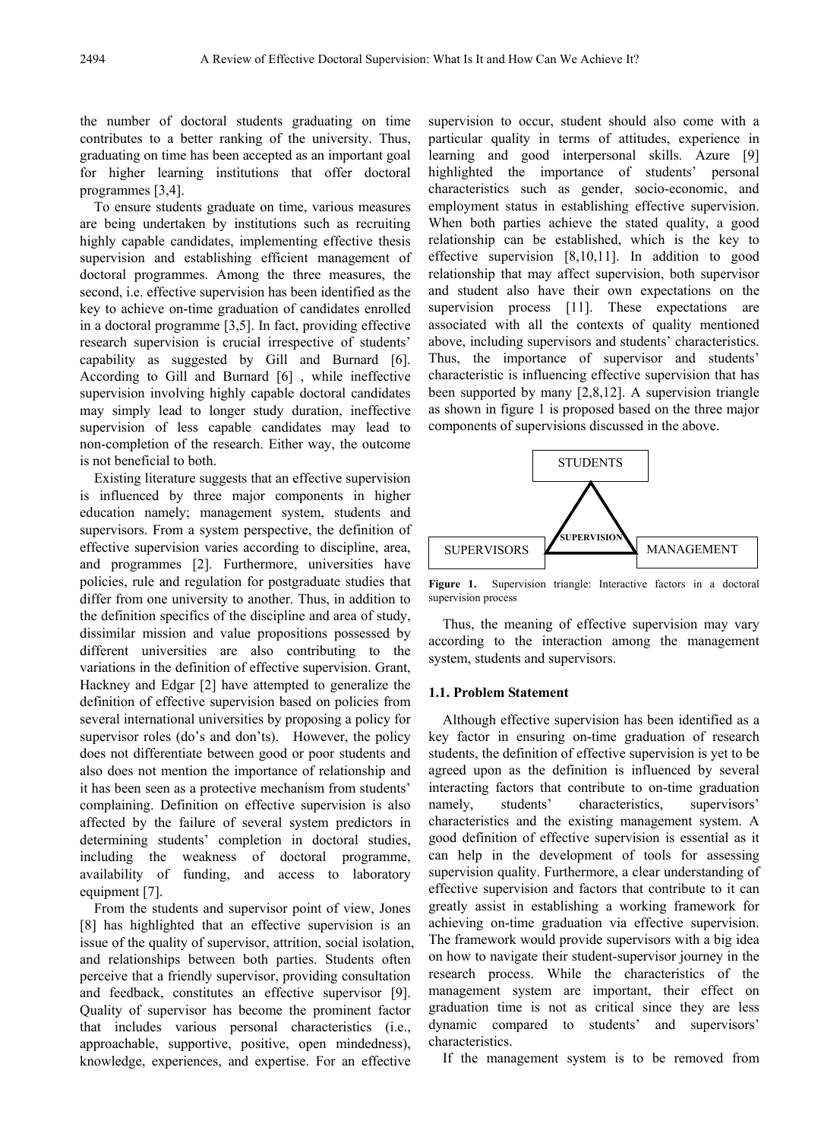the number of doctoral students graduating on time contributes to a better ranking of the university. Thus, graduating on time has been accepted as an important goal for higher learning institutions that offer doctoral programmes [3,4].

To ensure students graduate on time, various measures are being undertaken by institutions such as recruiting highly capable candidates, implementing effective thesis supervision and establishing efficient management of doctoral programmes. Among the three measures, the second, i.e. effective supervision has been identified as the key to achieve on-time graduation of candidates enrolled in a doctoral programme [3,5]. In fact, providing effective research supervision is crucial irrespective of students' capability as suggested by Gill and Burnard [6]. According to Gill and Burnard [6] , while ineffective supervision involving highly capable doctoral candidates may simply lead to longer study duration, ineffective supervision of less capable candidates may lead to non-completion of the research. Either way, the outcome is not beneficial to both.

Existing literature suggests that an effective supervision is influenced by three major components in higher education namely; management system, students and supervisors. From a system perspective, the definition of effective supervision varies according to discipline, area, and programmes [2]. Furthermore, universities have policies, rule and regulation for postgraduate studies that differ from one university to another. Thus, in addition to the definition specifics of the discipline and area of study, dissimilar mission and value propositions possessed by different universities are also contributing to the variations in the definition of effective supervision. Grant, Hackney and Edgar [2] have attempted to generalize the definition of effective supervision based on policies from several international universities by proposing a policy for supervisor roles (do's and don'ts). However, the policy does not differentiate between good or poor students and also does not mention the importance of relationship and it has been seen as a protective mechanism from students' complaining. Definition on effective supervision is also affected by the failure of several system predictors in determining students' completion in doctoral studies, including the weakness of doctoral programme, availability of funding, and access to laboratory equipment [7].

From the students and supervisor point of view, Jones [8] has highlighted that an effective supervision is an issue of the quality of supervisor, attrition, social isolation, and relationships between both parties. Students often perceive that a friendly supervisor, providing consultation and feedback, constitutes an effective supervisor [9]. Quality of supervisor has become the prominent factor that includes various personal characteristics (i.e., approachable, supportive, positive, open mindedness), knowledge, experiences, and expertise. For an effective

supervision to occur, student should also come with a particular quality in terms of attitudes, experience in learning and good interpersonal skills. Azure [9] highlighted the importance of students' personal characteristics such as gender, socio-economic, and employment status in establishing effective supervision. When both parties achieve the stated quality, a good relationship can be established, which is the key to effective supervision [8,10,11]. In addition to good relationship that may affect supervision, both supervisor and student also have their own expectations on the supervision process [11]. These expectations are associated with all the contexts of quality mentioned above, including supervisors and students' characteristics. Thus, the importance of supervisor and students' characteristic is influencing effective supervision that has been supported by many [2,8,12]. A supervision triangle as shown in figure 1 is proposed based on the three major components of supervisions discussed in the above.



**Figure 1.** Supervision triangle: Interactive factors in a doctoral supervision process

Thus, the meaning of effective supervision may vary according to the interaction among the management system, students and supervisors.

#### **1.1. Problem Statement**

Although effective supervision has been identified as a key factor in ensuring on-time graduation of research students, the definition of effective supervision is yet to be agreed upon as the definition is influenced by several interacting factors that contribute to on-time graduation namely, students' characteristics, supervisors' characteristics and the existing management system. A good definition of effective supervision is essential as it can help in the development of tools for assessing supervision quality. Furthermore, a clear understanding of effective supervision and factors that contribute to it can greatly assist in establishing a working framework for achieving on-time graduation via effective supervision. The framework would provide supervisors with a big idea on how to navigate their student-supervisor journey in the research process. While the characteristics of the management system are important, their effect on graduation time is not as critical since they are less dynamic compared to students' and supervisors' characteristics.

If the management system is to be removed from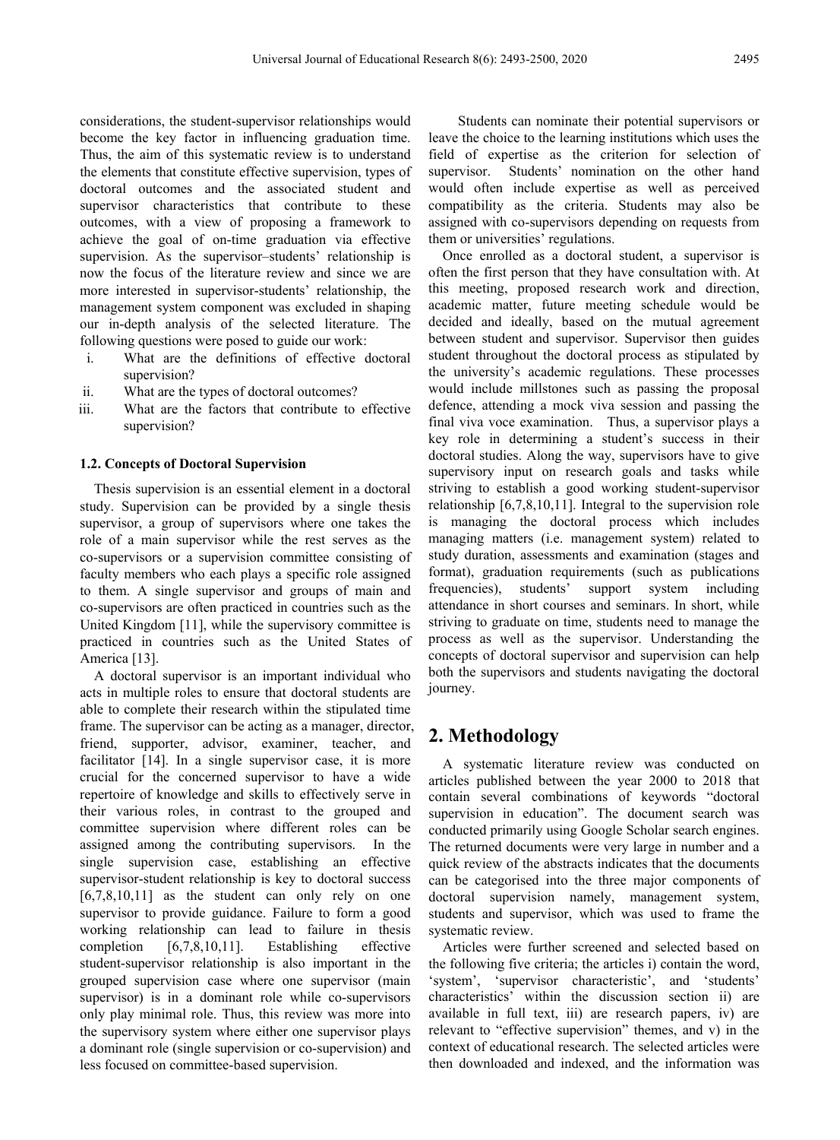considerations, the student-supervisor relationships would become the key factor in influencing graduation time. Thus, the aim of this systematic review is to understand the elements that constitute effective supervision, types of doctoral outcomes and the associated student and supervisor characteristics that contribute to these outcomes, with a view of proposing a framework to achieve the goal of on-time graduation via effective supervision. As the supervisor–students' relationship is now the focus of the literature review and since we are more interested in supervisor-students' relationship, the management system component was excluded in shaping our in-depth analysis of the selected literature. The following questions were posed to guide our work:

- i. What are the definitions of effective doctoral supervision?
- ii. What are the types of doctoral outcomes?
- iii. What are the factors that contribute to effective supervision?

#### **1.2. Concepts of Doctoral Supervision**

Thesis supervision is an essential element in a doctoral study. Supervision can be provided by a single thesis supervisor, a group of supervisors where one takes the role of a main supervisor while the rest serves as the co-supervisors or a supervision committee consisting of faculty members who each plays a specific role assigned to them. A single supervisor and groups of main and co-supervisors are often practiced in countries such as the United Kingdom [11], while the supervisory committee is practiced in countries such as the United States of America [13].

A doctoral supervisor is an important individual who acts in multiple roles to ensure that doctoral students are able to complete their research within the stipulated time frame. The supervisor can be acting as a manager, director, friend, supporter, advisor, examiner, teacher, and facilitator [14]. In a single supervisor case, it is more crucial for the concerned supervisor to have a wide repertoire of knowledge and skills to effectively serve in their various roles, in contrast to the grouped and committee supervision where different roles can be assigned among the contributing supervisors. In the single supervision case, establishing an effective supervisor-student relationship is key to doctoral success  $[6,7,8,10,11]$  as the student can only rely on one supervisor to provide guidance. Failure to form a good working relationship can lead to failure in thesis completion [6,7,8,10,11]. Establishing effective student-supervisor relationship is also important in the grouped supervision case where one supervisor (main supervisor) is in a dominant role while co-supervisors only play minimal role. Thus, this review was more into the supervisory system where either one supervisor plays a dominant role (single supervision or co-supervision) and less focused on committee-based supervision.

Students can nominate their potential supervisors or leave the choice to the learning institutions which uses the field of expertise as the criterion for selection of supervisor. Students' nomination on the other hand would often include expertise as well as perceived compatibility as the criteria. Students may also be assigned with co-supervisors depending on requests from them or universities' regulations.

Once enrolled as a doctoral student, a supervisor is often the first person that they have consultation with. At this meeting, proposed research work and direction, academic matter, future meeting schedule would be decided and ideally, based on the mutual agreement between student and supervisor. Supervisor then guides student throughout the doctoral process as stipulated by the university's academic regulations. These processes would include millstones such as passing the proposal defence, attending a mock viva session and passing the final viva voce examination. Thus, a supervisor plays a key role in determining a student's success in their doctoral studies. Along the way, supervisors have to give supervisory input on research goals and tasks while striving to establish a good working student-supervisor relationship [6,7,8,10,11]. Integral to the supervision role is managing the doctoral process which includes managing matters (i.e. management system) related to study duration, assessments and examination (stages and format), graduation requirements (such as publications frequencies), students' support system including attendance in short courses and seminars. In short, while striving to graduate on time, students need to manage the process as well as the supervisor. Understanding the concepts of doctoral supervisor and supervision can help both the supervisors and students navigating the doctoral journey.

## **2. Methodology**

A systematic literature review was conducted on articles published between the year 2000 to 2018 that contain several combinations of keywords "doctoral supervision in education". The document search was conducted primarily using Google Scholar search engines. The returned documents were very large in number and a quick review of the abstracts indicates that the documents can be categorised into the three major components of doctoral supervision namely, management system, students and supervisor, which was used to frame the systematic review.

Articles were further screened and selected based on the following five criteria; the articles i) contain the word, 'system', 'supervisor characteristic', and 'students' characteristics' within the discussion section ii) are available in full text, iii) are research papers, iv) are relevant to "effective supervision" themes, and v) in the context of educational research. The selected articles were then downloaded and indexed, and the information was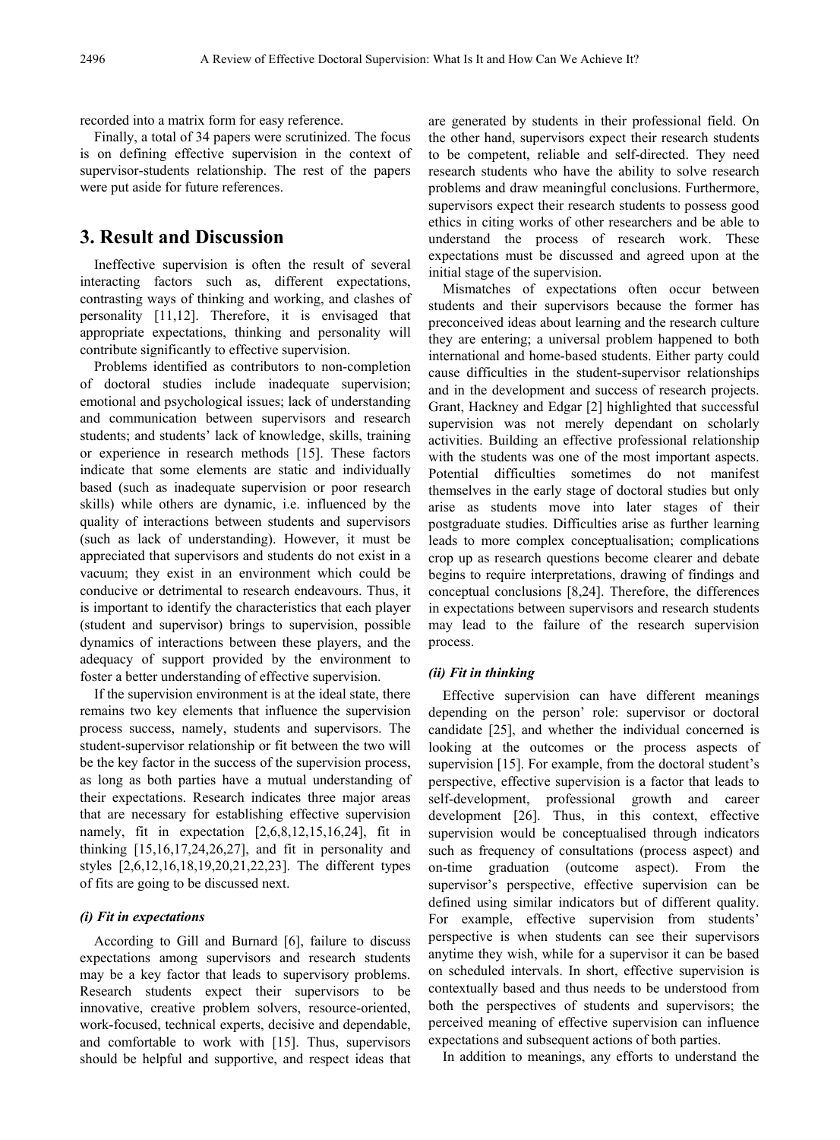recorded into a matrix form for easy reference.

Finally, a total of 34 papers were scrutinized. The focus is on defining effective supervision in the context of supervisor-students relationship. The rest of the papers were put aside for future references.

## **3. Result and Discussion**

Ineffective supervision is often the result of several interacting factors such as, different expectations, contrasting ways of thinking and working, and clashes of personality [11,12]. Therefore, it is envisaged that appropriate expectations, thinking and personality will contribute significantly to effective supervision.

Problems identified as contributors to non-completion of doctoral studies include inadequate supervision; emotional and psychological issues; lack of understanding and communication between supervisors and research students; and students' lack of knowledge, skills, training or experience in research methods [15]. These factors indicate that some elements are static and individually based (such as inadequate supervision or poor research skills) while others are dynamic, i.e. influenced by the quality of interactions between students and supervisors (such as lack of understanding). However, it must be appreciated that supervisors and students do not exist in a vacuum; they exist in an environment which could be conducive or detrimental to research endeavours. Thus, it is important to identify the characteristics that each player (student and supervisor) brings to supervision, possible dynamics of interactions between these players, and the adequacy of support provided by the environment to foster a better understanding of effective supervision.

If the supervision environment is at the ideal state, there remains two key elements that influence the supervision process success, namely, students and supervisors. The student-supervisor relationship or fit between the two will be the key factor in the success of the supervision process, as long as both parties have a mutual understanding of their expectations. Research indicates three major areas that are necessary for establishing effective supervision namely, fit in expectation [2,6,8,12,15,16,24], fit in thinking  $[15,16,17,24,26,27]$ , and fit in personality and styles [2,6,12,16,18,19,20,21,22,23]. The different types of fits are going to be discussed next.

#### *(i) Fit in expectations*

According to Gill and Burnard [6], failure to discuss expectations among supervisors and research students may be a key factor that leads to supervisory problems. Research students expect their supervisors to be innovative, creative problem solvers, resource-oriented, work-focused, technical experts, decisive and dependable, and comfortable to work with [15]. Thus, supervisors should be helpful and supportive, and respect ideas that are generated by students in their professional field. On the other hand, supervisors expect their research students to be competent, reliable and self-directed. They need research students who have the ability to solve research problems and draw meaningful conclusions. Furthermore, supervisors expect their research students to possess good ethics in citing works of other researchers and be able to understand the process of research work. These expectations must be discussed and agreed upon at the initial stage of the supervision.

Mismatches of expectations often occur between students and their supervisors because the former has preconceived ideas about learning and the research culture they are entering; a universal problem happened to both international and home-based students. Either party could cause difficulties in the student-supervisor relationships and in the development and success of research projects. Grant, Hackney and Edgar [2] highlighted that successful supervision was not merely dependant on scholarly activities. Building an effective professional relationship with the students was one of the most important aspects. Potential difficulties sometimes do not manifest themselves in the early stage of doctoral studies but only arise as students move into later stages of their postgraduate studies. Difficulties arise as further learning leads to more complex conceptualisation; complications crop up as research questions become clearer and debate begins to require interpretations, drawing of findings and conceptual conclusions [8,24]. Therefore, the differences in expectations between supervisors and research students may lead to the failure of the research supervision process.

#### *(ii) Fit in thinking*

Effective supervision can have different meanings depending on the person' role: supervisor or doctoral candidate [25], and whether the individual concerned is looking at the outcomes or the process aspects of supervision [15]. For example, from the doctoral student's perspective, effective supervision is a factor that leads to self-development, professional growth and career development [26]. Thus, in this context, effective supervision would be conceptualised through indicators such as frequency of consultations (process aspect) and on-time graduation (outcome aspect). From the supervisor's perspective, effective supervision can be defined using similar indicators but of different quality. For example, effective supervision from students' perspective is when students can see their supervisors anytime they wish, while for a supervisor it can be based on scheduled intervals. In short, effective supervision is contextually based and thus needs to be understood from both the perspectives of students and supervisors; the perceived meaning of effective supervision can influence expectations and subsequent actions of both parties.

In addition to meanings, any efforts to understand the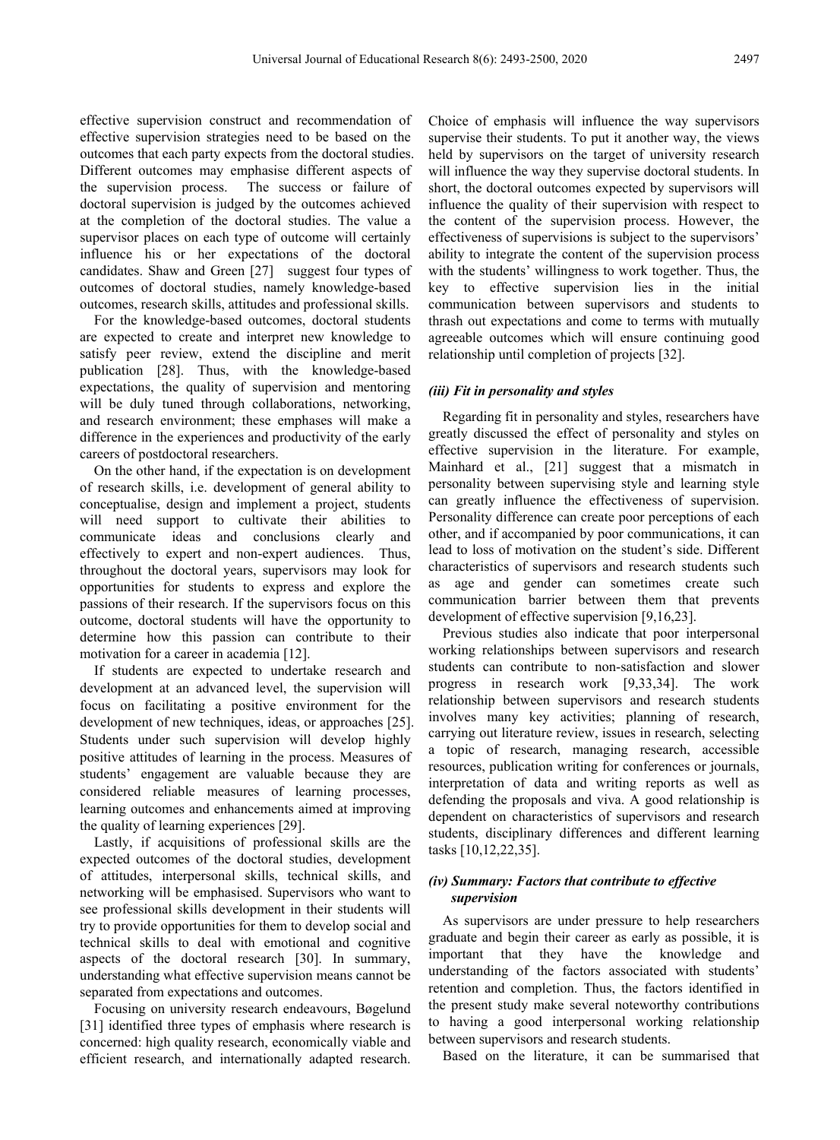effective supervision construct and recommendation of effective supervision strategies need to be based on the outcomes that each party expects from the doctoral studies. Different outcomes may emphasise different aspects of the supervision process. The success or failure of doctoral supervision is judged by the outcomes achieved at the completion of the doctoral studies. The value a supervisor places on each type of outcome will certainly influence his or her expectations of the doctoral candidates. Shaw and Green [27] suggest four types of outcomes of doctoral studies, namely knowledge-based outcomes, research skills, attitudes and professional skills.

For the knowledge-based outcomes, doctoral students are expected to create and interpret new knowledge to satisfy peer review, extend the discipline and merit publication [28]. Thus, with the knowledge-based expectations, the quality of supervision and mentoring will be duly tuned through collaborations, networking, and research environment; these emphases will make a difference in the experiences and productivity of the early careers of postdoctoral researchers.

On the other hand, if the expectation is on development of research skills, i.e. development of general ability to conceptualise, design and implement a project, students will need support to cultivate their abilities to communicate ideas and conclusions clearly and effectively to expert and non-expert audiences. Thus, throughout the doctoral years, supervisors may look for opportunities for students to express and explore the passions of their research. If the supervisors focus on this outcome, doctoral students will have the opportunity to determine how this passion can contribute to their motivation for a career in academia [12].

If students are expected to undertake research and development at an advanced level, the supervision will focus on facilitating a positive environment for the development of new techniques, ideas, or approaches [25]. Students under such supervision will develop highly positive attitudes of learning in the process. Measures of students' engagement are valuable because they are considered reliable measures of learning processes, learning outcomes and enhancements aimed at improving the quality of learning experiences [29].

Lastly, if acquisitions of professional skills are the expected outcomes of the doctoral studies, development of attitudes, interpersonal skills, technical skills, and networking will be emphasised. Supervisors who want to see professional skills development in their students will try to provide opportunities for them to develop social and technical skills to deal with emotional and cognitive aspects of the doctoral research [30]. In summary, understanding what effective supervision means cannot be separated from expectations and outcomes.

Focusing on university research endeavours, Bøgelund [31] identified three types of emphasis where research is concerned: high quality research, economically viable and efficient research, and internationally adapted research.

Choice of emphasis will influence the way supervisors supervise their students. To put it another way, the views held by supervisors on the target of university research will influence the way they supervise doctoral students. In short, the doctoral outcomes expected by supervisors will influence the quality of their supervision with respect to the content of the supervision process. However, the effectiveness of supervisions is subject to the supervisors' ability to integrate the content of the supervision process with the students' willingness to work together. Thus, the key to effective supervision lies in the initial communication between supervisors and students to thrash out expectations and come to terms with mutually agreeable outcomes which will ensure continuing good relationship until completion of projects [32].

#### *(iii) Fit in personality and styles*

Regarding fit in personality and styles, researchers have greatly discussed the effect of personality and styles on effective supervision in the literature. For example, Mainhard et al., [21] suggest that a mismatch in personality between supervising style and learning style can greatly influence the effectiveness of supervision. Personality difference can create poor perceptions of each other, and if accompanied by poor communications, it can lead to loss of motivation on the student's side. Different characteristics of supervisors and research students such as age and gender can sometimes create such communication barrier between them that prevents development of effective supervision [9,16,23].

Previous studies also indicate that poor interpersonal working relationships between supervisors and research students can contribute to non-satisfaction and slower progress in research work [9,33,34]. The work relationship between supervisors and research students involves many key activities; planning of research, carrying out literature review, issues in research, selecting a topic of research, managing research, accessible resources, publication writing for conferences or journals, interpretation of data and writing reports as well as defending the proposals and viva. A good relationship is dependent on characteristics of supervisors and research students, disciplinary differences and different learning tasks [10,12,22,35].

#### *(iv) Summary: Factors that contribute to effective supervision*

As supervisors are under pressure to help researchers graduate and begin their career as early as possible, it is important that they have the knowledge and understanding of the factors associated with students' retention and completion. Thus, the factors identified in the present study make several noteworthy contributions to having a good interpersonal working relationship between supervisors and research students.

Based on the literature, it can be summarised that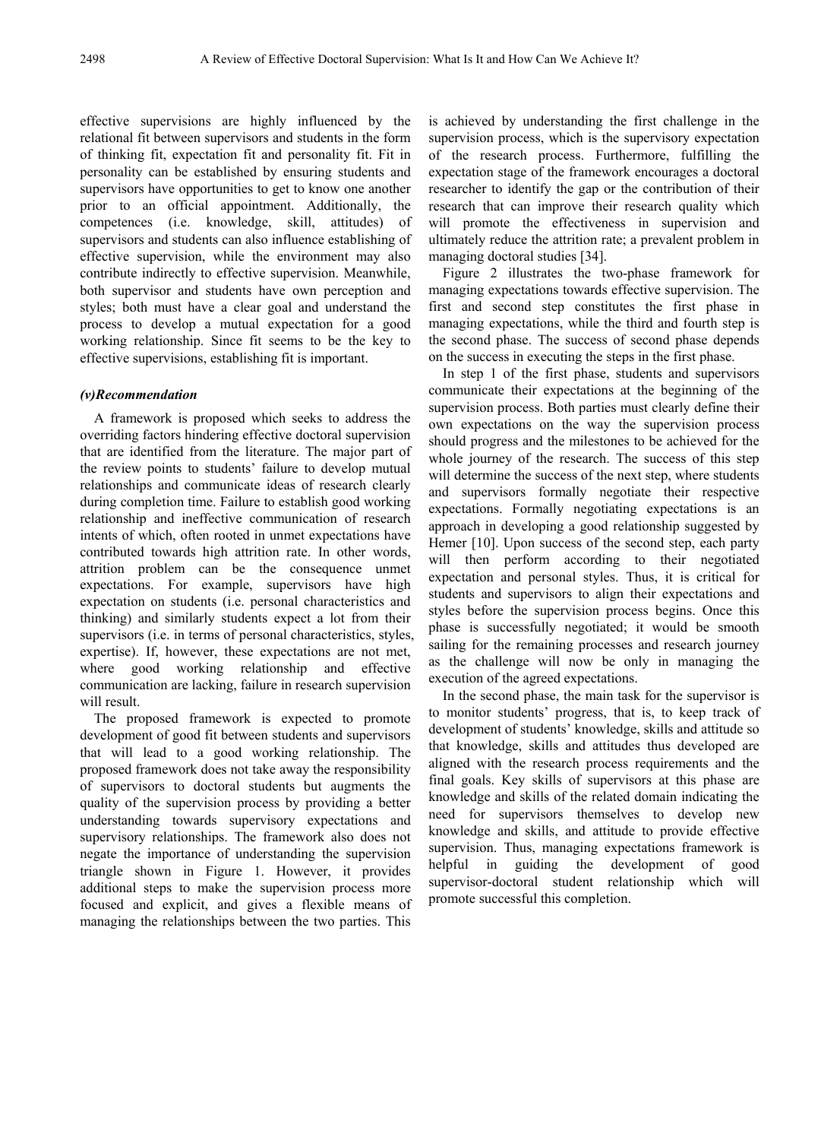effective supervisions are highly influenced by the relational fit between supervisors and students in the form of thinking fit, expectation fit and personality fit. Fit in personality can be established by ensuring students and supervisors have opportunities to get to know one another prior to an official appointment. Additionally, the competences (i.e. knowledge, skill, attitudes) of supervisors and students can also influence establishing of effective supervision, while the environment may also contribute indirectly to effective supervision. Meanwhile, both supervisor and students have own perception and styles; both must have a clear goal and understand the process to develop a mutual expectation for a good working relationship. Since fit seems to be the key to effective supervisions, establishing fit is important.

#### *(v)Recommendation*

A framework is proposed which seeks to address the overriding factors hindering effective doctoral supervision that are identified from the literature. The major part of the review points to students' failure to develop mutual relationships and communicate ideas of research clearly during completion time. Failure to establish good working relationship and ineffective communication of research intents of which, often rooted in unmet expectations have contributed towards high attrition rate. In other words, attrition problem can be the consequence unmet expectations. For example, supervisors have high expectation on students (i.e. personal characteristics and thinking) and similarly students expect a lot from their supervisors (i.e. in terms of personal characteristics, styles, expertise). If, however, these expectations are not met, where good working relationship and effective communication are lacking, failure in research supervision will result.

The proposed framework is expected to promote development of good fit between students and supervisors that will lead to a good working relationship. The proposed framework does not take away the responsibility of supervisors to doctoral students but augments the quality of the supervision process by providing a better understanding towards supervisory expectations and supervisory relationships. The framework also does not negate the importance of understanding the supervision triangle shown in Figure 1. However, it provides additional steps to make the supervision process more focused and explicit, and gives a flexible means of managing the relationships between the two parties. This

is achieved by understanding the first challenge in the supervision process, which is the supervisory expectation of the research process. Furthermore, fulfilling the expectation stage of the framework encourages a doctoral researcher to identify the gap or the contribution of their research that can improve their research quality which will promote the effectiveness in supervision and ultimately reduce the attrition rate; a prevalent problem in managing doctoral studies [34].

Figure 2 illustrates the two-phase framework for managing expectations towards effective supervision. The first and second step constitutes the first phase in managing expectations, while the third and fourth step is the second phase. The success of second phase depends on the success in executing the steps in the first phase.

In step 1 of the first phase, students and supervisors communicate their expectations at the beginning of the supervision process. Both parties must clearly define their own expectations on the way the supervision process should progress and the milestones to be achieved for the whole journey of the research. The success of this step will determine the success of the next step, where students and supervisors formally negotiate their respective expectations. Formally negotiating expectations is an approach in developing a good relationship suggested by Hemer [10]. Upon success of the second step, each party will then perform according to their negotiated expectation and personal styles. Thus, it is critical for students and supervisors to align their expectations and styles before the supervision process begins. Once this phase is successfully negotiated; it would be smooth sailing for the remaining processes and research journey as the challenge will now be only in managing the execution of the agreed expectations.

In the second phase, the main task for the supervisor is to monitor students' progress, that is, to keep track of development of students' knowledge, skills and attitude so that knowledge, skills and attitudes thus developed are aligned with the research process requirements and the final goals. Key skills of supervisors at this phase are knowledge and skills of the related domain indicating the need for supervisors themselves to develop new knowledge and skills, and attitude to provide effective supervision. Thus, managing expectations framework is helpful in guiding the development of good supervisor-doctoral student relationship which will promote successful this completion.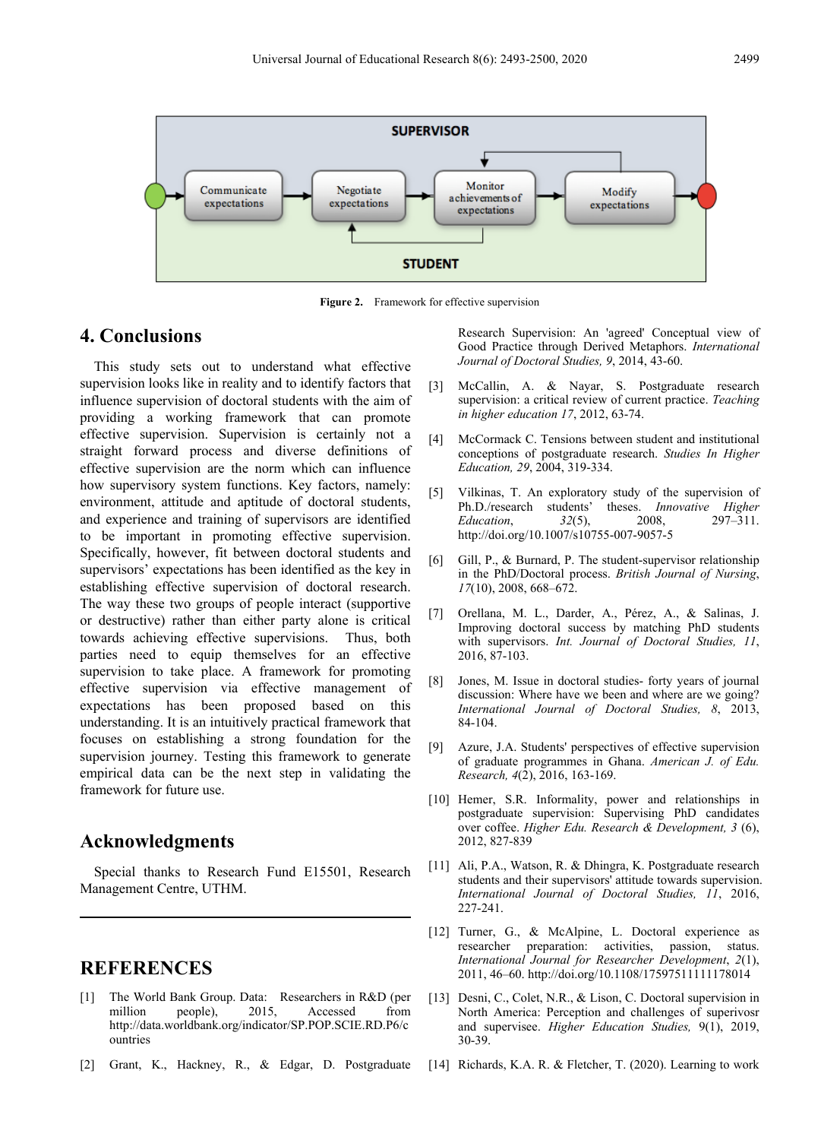

**Figure 2.** Framework for effective supervision

## **4. Conclusions**

This study sets out to understand what effective supervision looks like in reality and to identify factors that influence supervision of doctoral students with the aim of providing a working framework that can promote effective supervision. Supervision is certainly not a straight forward process and diverse definitions of effective supervision are the norm which can influence how supervisory system functions. Key factors, namely: environment, attitude and aptitude of doctoral students, and experience and training of supervisors are identified to be important in promoting effective supervision. Specifically, however, fit between doctoral students and supervisors' expectations has been identified as the key in establishing effective supervision of doctoral research. The way these two groups of people interact (supportive or destructive) rather than either party alone is critical towards achieving effective supervisions. Thus, both parties need to equip themselves for an effective supervision to take place. A framework for promoting effective supervision via effective management of expectations has been proposed based on this understanding. It is an intuitively practical framework that focuses on establishing a strong foundation for the supervision journey. Testing this framework to generate empirical data can be the next step in validating the framework for future use.

### **Acknowledgments**

Special thanks to Research Fund E15501, Research Management Centre, UTHM.

## **REFERENCES**

- [1] The World Bank Group. Data: Researchers in R&D (per million people), 2015, Accessed from http://data.worldbank.org/indicator/SP.POP.SCIE.RD.P6/c ountries
- [2] Grant, K., Hackney, R., & Edgar, D. Postgraduate

Research Supervision: An 'agreed' Conceptual view of Good Practice through Derived Metaphors. *International Journal of Doctoral Studies, 9*, 2014, 43-60.

- [3] McCallin, A. & Nayar, S. Postgraduate research supervision: a critical review of current practice. *Teaching in higher education 17*, 2012, 63-74.
- [4] McCormack C. Tensions between student and institutional conceptions of postgraduate research. *Studies In Higher Education, 29*, 2004, 319-334.
- [5] Vilkinas, T. An exploratory study of the supervision of Ph.D./research students' theses. *Innovative Higher*   $Eduction$ , http://doi.org/10.1007/s10755-007-9057-5
- [6] Gill, P., & Burnard, P. The student-supervisor relationship in the PhD/Doctoral process. *British Journal of Nursing*, *17*(10), 2008, 668–672.
- [7] Orellana, M. L., Darder, A., Pérez, A., & Salinas, J. Improving doctoral success by matching PhD students with supervisors. *Int. Journal of Doctoral Studies, 11*, 2016, 87-103.
- [8] Jones, M. Issue in doctoral studies- forty years of journal discussion: Where have we been and where are we going? *International Journal of Doctoral Studies, 8*, 2013, 84-104.
- [9] Azure, J.A. Students' perspectives of effective supervision of graduate programmes in Ghana. *American J. of Edu. Research, 4*(2), 2016, 163-169.
- [10] Hemer, S.R. Informality, power and relationships in postgraduate supervision: Supervising PhD candidates over coffee. *Higher Edu. Research & Development, 3* (6), 2012, 827-839
- [11] Ali, P.A., Watson, R. & Dhingra, K. Postgraduate research students and their supervisors' attitude towards supervision. *International Journal of Doctoral Studies, 11*, 2016, 227-241.
- [12] Turner, G., & McAlpine, L. Doctoral experience as researcher preparation: activities, passion, status. *International Journal for Researcher Development*, *2*(1), 2011, 46–60. http://doi.org/10.1108/17597511111178014
- [13] Desni, C., Colet, N.R., & Lison, C. Doctoral supervision in North America: Perception and challenges of superivosr and supervisee. *Higher Education Studies,* 9(1), 2019, 30-39.
- [14] Richards, K.A. R. & Fletcher, T. (2020). Learning to work